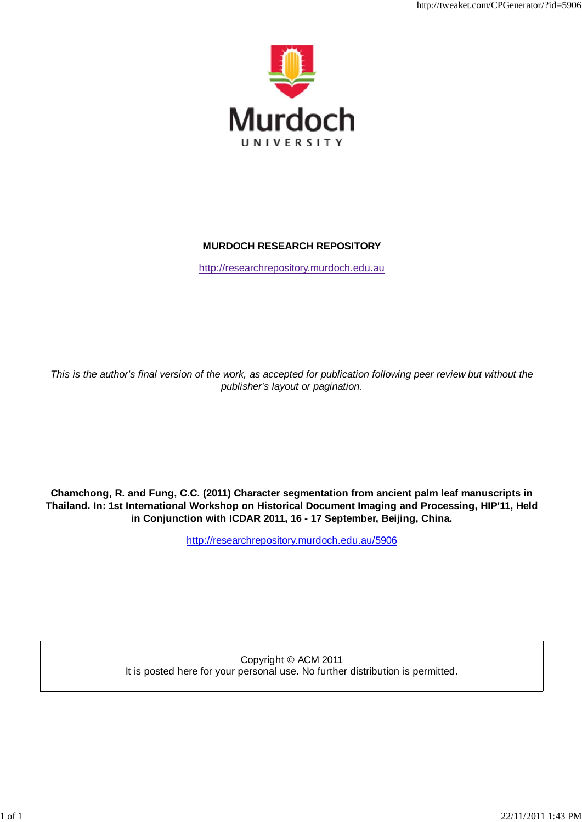

http://tweaket.com/CPGenerator/?id=5906

# **MURDOCH RESEARCH REPOSITORY**

http://researchrepository.murdoch.edu.au

*This is the author's final version of the work, as accepted for publication following peer review but without the publisher's layout or pagination.*

**Chamchong, R. and Fung, C.C. (2011) Character segmentation from ancient palm leaf manuscripts in Thailand. In: 1st International Workshop on Historical Document Imaging and Processing, HIP'11, Held in Conjunction with ICDAR 2011, 16 - 17 September, Beijing, China.**

http://researchrepository.murdoch.edu.au/5906

Copyright © ACM 2011 It is posted here for your personal use. No further distribution is permitted.

1 of 1 22/11/2011 1:43 PM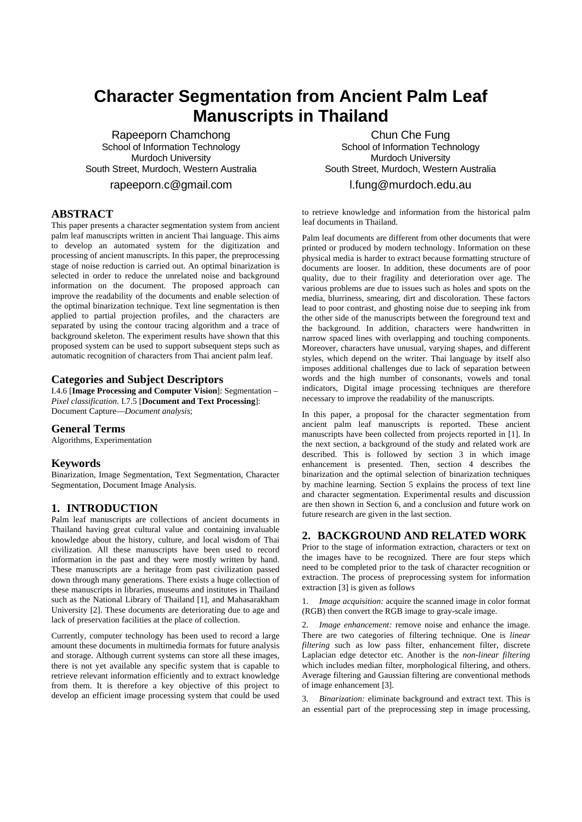# **Character Segmentation from Ancient Palm Leaf Manuscripts in Thailand**

Rapeeporn Chamchong School of Information Technology Murdoch University South Street, Murdoch, Western Australia

rapeeporn.c@gmail.com

# **ABSTRACT**

This paper presents a character segmentation system from ancient palm leaf manuscripts written in ancient Thai language. This aims to develop an automated system for the digitization and processing of ancient manuscripts. In this paper, the preprocessing stage of noise reduction is carried out. An optimal binarization is selected in order to reduce the unrelated noise and background information on the document. The proposed approach can improve the readability of the documents and enable selection of the optimal binarization technique. Text line segmentation is then applied to partial projection profiles, and the characters are separated by using the contour tracing algorithm and a trace of background skeleton. The experiment results have shown that this proposed system can be used to support subsequent steps such as automatic recognition of characters from Thai ancient palm leaf.

# **Categories and Subject Descriptors**

I.4.6 [**Image Processing and Computer Vision**]: Segmentation – *Pixel classification*. I.7.5 [**Document and Text Processing**]: Document Capture—*Document analysis*;

#### **General Terms**

Algorithms, Experimentation

## **Keywords**

Binarization, Image Segmentation, Text Segmentation, Character Segmentation, Document Image Analysis.

## **1. INTRODUCTION**

Palm leaf manuscripts are collections of ancient documents in Thailand having great cultural value and containing invaluable knowledge about the history, culture, and local wisdom of Thai civilization. All these manuscripts have been used to record information in the past and they were mostly written by hand. These manuscripts are a heritage from past civilization passed down through many generations. There exists a huge collection of these manuscripts in libraries, museums and institutes in Thailand such as the National Library of Thailand [1], and Mahasarakham University [2]. These documents are deteriorating due to age and lack of preservation facilities at the place of collection.

Currently, computer technology has been used to record a large amount these documents in multimedia formats for future analysis and storage. Although current systems can store all these images, there is not yet available any specific system that is capable to retrieve relevant information efficiently and to extract knowledge from them. It is therefore a key objective of this project to develop an efficient image processing system that could be used

Chun Che Fung School of Information Technology Murdoch University South Street, Murdoch, Western Australia l.fung@murdoch.edu.au

to retrieve knowledge and information from the historical palm leaf documents in Thailand.

Palm leaf documents are different from other documents that were printed or produced by modern technology. Information on these physical media is harder to extract because formatting structure of documents are looser. In addition, these documents are of poor quality, due to their fragility and deterioration over age. The various problems are due to issues such as holes and spots on the media, blurriness, smearing, dirt and discoloration. These factors lead to poor contrast, and ghosting noise due to seeping ink from the other side of the manuscripts between the foreground text and the background. In addition, characters were handwritten in narrow spaced lines with overlapping and touching components. Moreover, characters have unusual, varying shapes, and different styles, which depend on the writer. Thai language by itself also imposes additional challenges due to lack of separation between words and the high number of consonants, vowels and tonal indicators, Digital image processing techniques are therefore necessary to improve the readability of the manuscripts.

In this paper, a proposal for the character segmentation from ancient palm leaf manuscripts is reported. These ancient manuscripts have been collected from projects reported in [1]. In the next section, a background of the study and related work are described. This is followed by section 3 in which image enhancement is presented. Then, section 4 describes the binarization and the optimal selection of binarization techniques by machine learning. Section 5 explains the process of text line and character segmentation. Experimental results and discussion are then shown in Section 6, and a conclusion and future work on future research are given in the last section.

## **2. BACKGROUND AND RELATED WORK**

Prior to the stage of information extraction, characters or text on the images have to be recognized. There are four steps which need to be completed prior to the task of character recognition or extraction. The process of preprocessing system for information extraction [3] is given as follows

1. *Image acquisition:* acquire the scanned image in color format (RGB) then convert the RGB image to gray-scale image.

2. *Image enhancement:* remove noise and enhance the image. There are two categories of filtering technique. One is *linear filtering* such as low pass filter, enhancement filter, discrete Laplacian edge detector etc. Another is the *non-linear filtering* which includes median filter, morphological filtering, and others. Average filtering and Gaussian filtering are conventional methods of image enhancement [3].

3. *Binarization:* eliminate background and extract text. This is an essential part of the preprocessing step in image processing,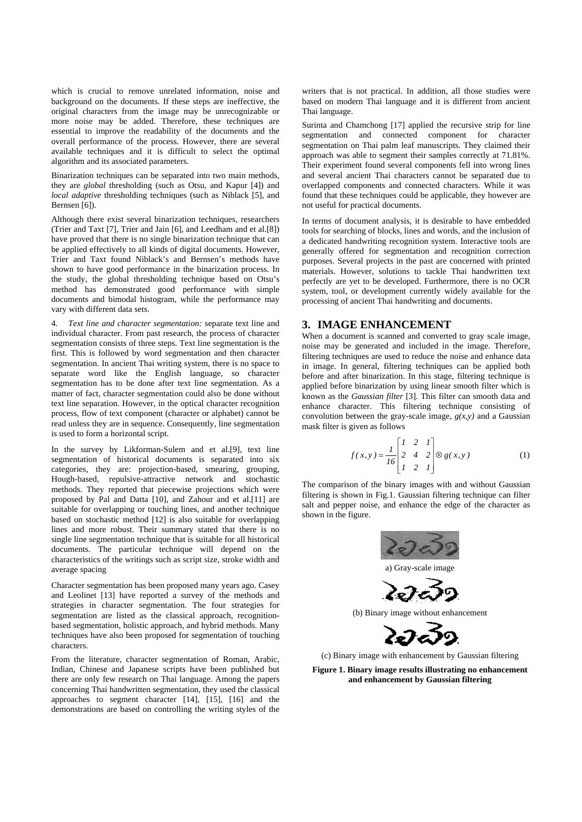which is crucial to remove unrelated information, noise and background on the documents. If these steps are ineffective, the original characters from the image may be unrecognizable or more noise may be added. Therefore, these techniques are essential to improve the readability of the documents and the overall performance of the process. However, there are several available techniques and it is difficult to select the optimal algorithm and its associated parameters.

Binarization techniques can be separated into two main methods, they are *global* thresholding (such as Otsu, and Kapur [4]) and *local adaptive* thresholding techniques (such as Niblack [5], and Bernsen [6]).

Although there exist several binarization techniques, researchers (Trier and Taxt [7], Trier and Jain [6], and Leedham and et al.[8]) have proved that there is no single binarization technique that can be applied effectively to all kinds of digital documents. However, Trier and Taxt found Niblack's and Bernsen's methods have shown to have good performance in the binarization process. In the study, the global thresholding technique based on Otsu's method has demonstrated good performance with simple documents and bimodal histogram, while the performance may vary with different data sets.

4. *Text line and character segmentation:* separate text line and individual character. From past research, the process of character segmentation consists of three steps. Text line segmentation is the first. This is followed by word segmentation and then character segmentation. In ancient Thai writing system, there is no space to separate word like the English language, so character segmentation has to be done after text line segmentation. As a matter of fact, character segmentation could also be done without text line separation. However, in the optical character recognition process, flow of text component (character or alphabet) cannot be read unless they are in sequence. Consequently, line segmentation is used to form a horizontal script.

In the survey by Likforman-Sulem and et al.[9], text line segmentation of historical documents is separated into six categories, they are: projection-based, smearing, grouping, Hough-based, repulsive-attractive network and stochastic methods. They reported that piecewise projections which were proposed by Pal and Datta [10], and Zahour and et al.[11] are suitable for overlapping or touching lines, and another technique based on stochastic method [12] is also suitable for overlapping lines and more robust. Their summary stated that there is no single line segmentation technique that is suitable for all historical documents. The particular technique will depend on the characteristics of the writings such as script size, stroke width and average spacing

Character segmentation has been proposed many years ago. Casey and Leolinet [13] have reported a survey of the methods and strategies in character segmentation. The four strategies for segmentation are listed as the classical approach, recognitionbased segmentation, holistic approach, and hybrid methods. Many techniques have also been proposed for segmentation of touching characters.

From the literature, character segmentation of Roman, Arabic, Indian, Chinese and Japanese scripts have been published but there are only few research on Thai language. Among the papers concerning Thai handwritten segmentation, they used the classical approaches to segment character [14], [15], [16] and the demonstrations are based on controlling the writing styles of the

writers that is not practical. In addition, all those studies were based on modern Thai language and it is different from ancient Thai language.

Surinta and Chamchong [17] applied the recursive strip for line segmentation and connected component for character segmentation on Thai palm leaf manuscripts. They claimed their approach was able to segment their samples correctly at 71.81%. Their experiment found several components fell into wrong lines and several ancient Thai characters cannot be separated due to overlapped components and connected characters. While it was found that these techniques could be applicable, they however are not useful for practical documents.

In terms of document analysis, it is desirable to have embedded tools for searching of blocks, lines and words, and the inclusion of a dedicated handwriting recognition system. Interactive tools are generally offered for segmentation and recognition correction purposes. Several projects in the past are concerned with printed materials. However, solutions to tackle Thai handwritten text perfectly are yet to be developed. Furthermore, there is no OCR system, tool, or development currently widely available for the processing of ancient Thai handwriting and documents.

## **3. IMAGE ENHANCEMENT**

When a document is scanned and converted to gray scale image, noise may be generated and included in the image. Therefore, filtering techniques are used to reduce the noise and enhance data in image. In general, filtering techniques can be applied both before and after binarization. In this stage, filtering technique is applied before binarization by using linear smooth filter which is known as the *Gaussian filter* [3]. This filter can smooth data and enhance character. This filtering technique consisting of convolution between the gray-scale image,  $g(x, y)$  and a Gaussian mask filter is given as follows

$$
f(x, y) = \frac{1}{16} \begin{bmatrix} 1 & 2 & 1 \\ 2 & 4 & 2 \\ 1 & 2 & 1 \end{bmatrix} \otimes g(x, y)
$$
 (1)

The comparison of the binary images with and without Gaussian filtering is shown in Fig.1. Gaussian filtering technique can filter salt and pepper noise, and enhance the edge of the character as shown in the figure.



a) Gray-scale image



(b) Binary image without enhancement



(c) Binary image with enhancement by Gaussian filtering

**Figure 1. Binary image results illustrating no enhancement and enhancement by Gaussian filtering**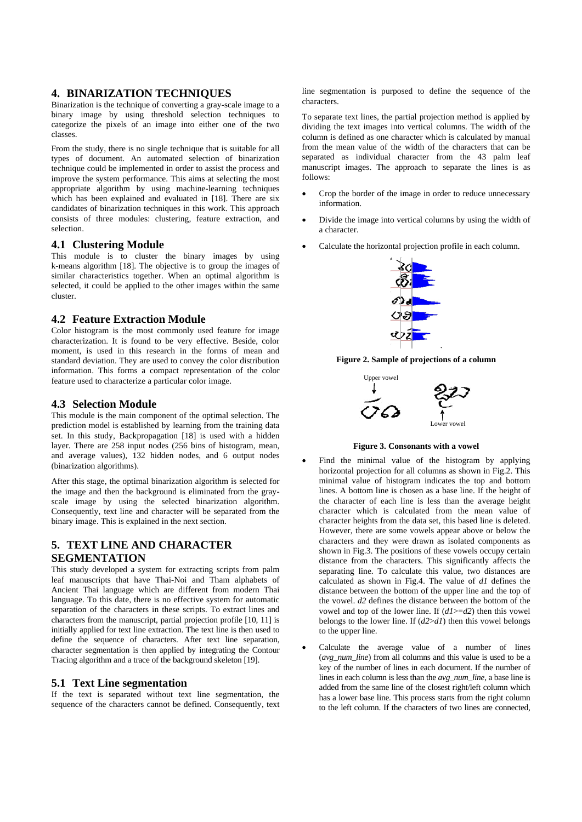# **4. BINARIZATION TECHNIQUES**

Binarization is the technique of converting a gray-scale image to a binary image by using threshold selection techniques to categorize the pixels of an image into either one of the two classes.

From the study, there is no single technique that is suitable for all types of document. An automated selection of binarization technique could be implemented in order to assist the process and improve the system performance. This aims at selecting the most appropriate algorithm by using machine-learning techniques which has been explained and evaluated in [18]. There are six candidates of binarization techniques in this work. This approach consists of three modules: clustering, feature extraction, and selection.

#### **4.1 Clustering Module**

This module is to cluster the binary images by using k-means algorithm [18]. The objective is to group the images of similar characteristics together. When an optimal algorithm is selected, it could be applied to the other images within the same cluster.

# **4.2 Feature Extraction Module**

Color histogram is the most commonly used feature for image characterization. It is found to be very effective. Beside, color moment, is used in this research in the forms of mean and standard deviation. They are used to convey the color distribution information. This forms a compact representation of the color feature used to characterize a particular color image.

# **4.3 Selection Module**

This module is the main component of the optimal selection. The prediction model is established by learning from the training data set. In this study, Backpropagation [18] is used with a hidden layer. There are 258 input nodes (256 bins of histogram, mean, and average values), 132 hidden nodes, and 6 output nodes (binarization algorithms).

After this stage, the optimal binarization algorithm is selected for the image and then the background is eliminated from the grayscale image by using the selected binarization algorithm. Consequently, text line and character will be separated from the binary image. This is explained in the next section.

# **5. TEXT LINE AND CHARACTER SEGMENTATION**

This study developed a system for extracting scripts from palm leaf manuscripts that have Thai-Noi and Tham alphabets of Ancient Thai language which are different from modern Thai language. To this date, there is no effective system for automatic separation of the characters in these scripts. To extract lines and characters from the manuscript, partial projection profile [10, 11] is initially applied for text line extraction. The text line is then used to define the sequence of characters. After text line separation, character segmentation is then applied by integrating the Contour Tracing algorithm and a trace of the background skeleton [19].

#### **5.1 Text Line segmentation**

If the text is separated without text line segmentation, the sequence of the characters cannot be defined. Consequently, text line segmentation is purposed to define the sequence of the characters.

To separate text lines, the partial projection method is applied by dividing the text images into vertical columns. The width of the column is defined as one character which is calculated by manual from the mean value of the width of the characters that can be separated as individual character from the 43 palm leaf manuscript images. The approach to separate the lines is as follows:

- Crop the border of the image in order to reduce unnecessary information.
- Divide the image into vertical columns by using the width of a character.
- Calculate the horizontal projection profile in each column.



**Figure 2. Sample of projections of a column** 



**Figure 3. Consonants with a vowel** 

- Find the minimal value of the histogram by applying horizontal projection for all columns as shown in Fig.2. This minimal value of histogram indicates the top and bottom lines. A bottom line is chosen as a base line. If the height of the character of each line is less than the average height character which is calculated from the mean value of character heights from the data set, this based line is deleted. However, there are some vowels appear above or below the characters and they were drawn as isolated components as shown in Fig.3. The positions of these vowels occupy certain distance from the characters. This significantly affects the separating line. To calculate this value, two distances are calculated as shown in Fig.4. The value of *d1* defines the distance between the bottom of the upper line and the top of the vowel. *d2* defines the distance between the bottom of the vowel and top of the lower line. If (*d1*>=*d2*) then this vowel belongs to the lower line. If (*d2*>*d1*) then this vowel belongs to the upper line.
- Calculate the average value of a number of lines (*avg\_num\_line*) from all columns and this value is used to be a key of the number of lines in each document. If the number of lines in each column is less than the *avg\_num\_line*, a base line is added from the same line of the closest right/left column which has a lower base line. This process starts from the right column to the left column. If the characters of two lines are connected,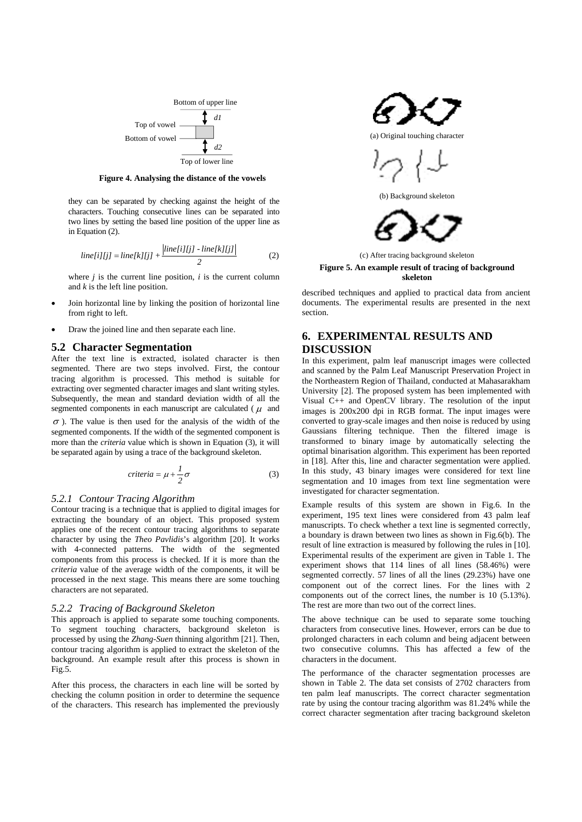

**Figure 4. Analysing the distance of the vowels** 

they can be separated by checking against the height of the characters. Touching consecutive lines can be separated into two lines by setting the based line position of the upper line as in Equation (2).

$$
line[i][jj] = line[k][jj] + \frac{|line[i][jj] - line[k][jj]}{2}
$$
 (2)

where  $j$  is the current line position,  $i$  is the current column and *k* is the left line position.

- Join horizontal line by linking the position of horizontal line from right to left.
- Draw the joined line and then separate each line.

#### **5.2 Character Segmentation**

After the text line is extracted, isolated character is then segmented. There are two steps involved. First, the contour tracing algorithm is processed. This method is suitable for extracting over segmented character images and slant writing styles. Subsequently, the mean and standard deviation width of all the segmented components in each manuscript are calculated ( $\mu$  and

 $\sigma$ ). The value is then used for the analysis of the width of the segmented components. If the width of the segmented component is more than the *criteria* value which is shown in Equation (3), it will be separated again by using a trace of the background skeleton.

$$
criteria = \mu + \frac{1}{2}\sigma \tag{3}
$$

#### *5.2.1 Contour Tracing Algorithm*

Contour tracing is a technique that is applied to digital images for extracting the boundary of an object. This proposed system applies one of the recent contour tracing algorithms to separate character by using the *Theo Pavlidis*'s algorithm [20]. It works with 4-connected patterns. The width of the segmented components from this process is checked. If it is more than the *criteria* value of the average width of the components, it will be processed in the next stage. This means there are some touching characters are not separated.

#### *5.2.2 Tracing of Background Skeleton*

This approach is applied to separate some touching components. To segment touching characters, background skeleton is processed by using the *Zhang-Suen* thinning algorithm [21]. Then, contour tracing algorithm is applied to extract the skeleton of the background. An example result after this process is shown in Fig.5.

After this process, the characters in each line will be sorted by checking the column position in order to determine the sequence of the characters. This research has implemented the previously



**Figure 5. An example result of tracing of background skeleton** 

described techniques and applied to practical data from ancient documents. The experimental results are presented in the next section.

# **6. EXPERIMENTAL RESULTS AND DISCUSSION**

In this experiment, palm leaf manuscript images were collected and scanned by the Palm Leaf Manuscript Preservation Project in the Northeastern Region of Thailand, conducted at Mahasarakham University [2]. The proposed system has been implemented with Visual C++ and OpenCV library. The resolution of the input images is 200x200 dpi in RGB format. The input images were converted to gray-scale images and then noise is reduced by using Gaussians filtering technique. Then the filtered image is transformed to binary image by automatically selecting the optimal binarisation algorithm. This experiment has been reported in [18]. After this, line and character segmentation were applied. In this study, 43 binary images were considered for text line segmentation and 10 images from text line segmentation were investigated for character segmentation.

Example results of this system are shown in Fig.6. In the experiment, 195 text lines were considered from 43 palm leaf manuscripts. To check whether a text line is segmented correctly, a boundary is drawn between two lines as shown in Fig.6(b). The result of line extraction is measured by following the rules in [10]. Experimental results of the experiment are given in Table 1. The experiment shows that 114 lines of all lines (58.46%) were segmented correctly. 57 lines of all the lines (29.23%) have one component out of the correct lines. For the lines with 2 components out of the correct lines, the number is 10 (5.13%). The rest are more than two out of the correct lines.

The above technique can be used to separate some touching characters from consecutive lines. However, errors can be due to prolonged characters in each column and being adjacent between two consecutive columns. This has affected a few of the characters in the document.

The performance of the character segmentation processes are shown in Table 2. The data set consists of 2702 characters from ten palm leaf manuscripts. The correct character segmentation rate by using the contour tracing algorithm was 81.24% while the correct character segmentation after tracing background skeleton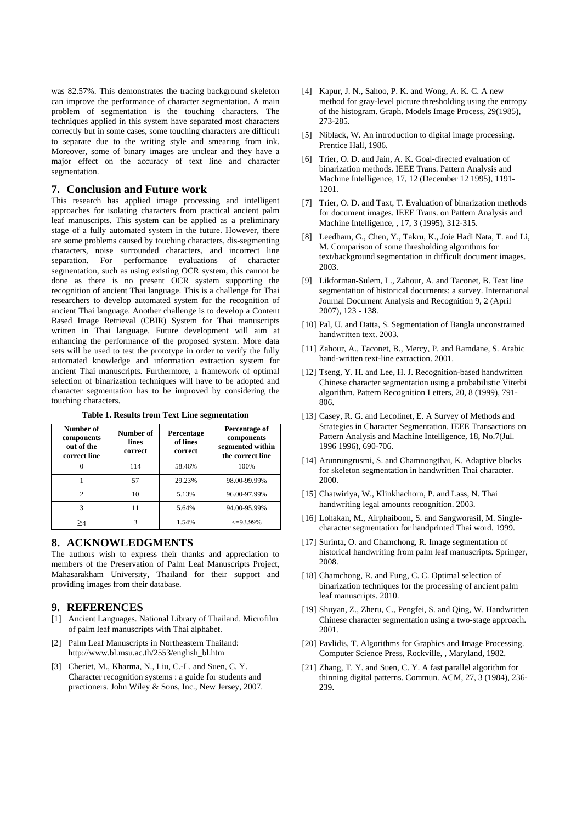was 82.57%. This demonstrates the tracing background skeleton can improve the performance of character segmentation. A main problem of segmentation is the touching characters. The techniques applied in this system have separated most characters correctly but in some cases, some touching characters are difficult to separate due to the writing style and smearing from ink. Moreover, some of binary images are unclear and they have a major effect on the accuracy of text line and character segmentation.

#### **7. Conclusion and Future work**

This research has applied image processing and intelligent approaches for isolating characters from practical ancient palm leaf manuscripts. This system can be applied as a preliminary stage of a fully automated system in the future. However, there are some problems caused by touching characters, dis-segmenting characters, noise surrounded characters, and incorrect line separation. For performance evaluations of character segmentation, such as using existing OCR system, this cannot be done as there is no present OCR system supporting the recognition of ancient Thai language. This is a challenge for Thai researchers to develop automated system for the recognition of ancient Thai language. Another challenge is to develop a Content Based Image Retrieval (CBIR) System for Thai manuscripts written in Thai language. Future development will aim at enhancing the performance of the proposed system. More data sets will be used to test the prototype in order to verify the fully automated knowledge and information extraction system for ancient Thai manuscripts. Furthermore, a framework of optimal selection of binarization techniques will have to be adopted and character segmentation has to be improved by considering the touching characters.

| Number of<br>components<br>out of the<br>correct line | Number of<br>lines<br>correct | Percentage<br>of lines<br>correct | Percentage of<br>components<br>segmented within<br>the correct line |  |
|-------------------------------------------------------|-------------------------------|-----------------------------------|---------------------------------------------------------------------|--|
|                                                       | 114                           | 58.46%                            | 100%                                                                |  |
|                                                       | 57                            | 29.23%                            | 98.00-99.99%                                                        |  |
| 2                                                     | 10                            | 5.13%                             | 96.00-97.99%                                                        |  |
| 3                                                     | 11                            | 5.64%                             | 94.00-95.99%                                                        |  |
|                                                       |                               | 1.54%                             | $\leq$ 93.99%                                                       |  |

**Table 1. Results from Text Line segmentation** 

# **8. ACKNOWLEDGMENTS**

The authors wish to express their thanks and appreciation to members of the Preservation of Palm Leaf Manuscripts Project, Mahasarakham University, Thailand for their support and providing images from their database.

#### **9. REFERENCES**

- [1] Ancient Languages. National Library of Thailand. Microfilm of palm leaf manuscripts with Thai alphabet.
- [2] Palm Leaf Manuscripts in Northeastern Thailand: http://www.bl.msu.ac.th/2553/english\_bl.htm
- [3] Cheriet, M., Kharma, N., Liu, C.-L. and Suen, C. Y. Character recognition systems : a guide for students and practioners. John Wiley & Sons, Inc., New Jersey, 2007.
- [4] Kapur, J. N., Sahoo, P. K. and Wong, A. K. C. A new method for gray-level picture thresholding using the entropy of the histogram. Graph. Models Image Process, 29(1985), 273-285.
- [5] Niblack, W. An introduction to digital image processing. Prentice Hall, 1986.
- [6] Trier, O. D. and Jain, A. K. Goal-directed evaluation of binarization methods. IEEE Trans. Pattern Analysis and Machine Intelligence, 17, 12 (December 12 1995), 1191- 1201.
- [7] Trier, O. D. and Taxt, T. Evaluation of binarization methods for document images. IEEE Trans. on Pattern Analysis and Machine Intelligence, , 17, 3 (1995), 312-315.
- [8] Leedham, G., Chen, Y., Takru, K., Joie Hadi Nata, T. and Li, M. Comparison of some thresholding algorithms for text/background segmentation in difficult document images. 2003.
- [9] Likforman-Sulem, L., Zahour, A. and Taconet, B. Text line segmentation of historical documents: a survey. International Journal Document Analysis and Recognition 9, 2 (April 2007), 123 - 138.
- [10] Pal, U. and Datta, S. Segmentation of Bangla unconstrained handwritten text. 2003.
- [11] Zahour, A., Taconet, B., Mercy, P. and Ramdane, S. Arabic hand-written text-line extraction. 2001.
- [12] Tseng, Y. H. and Lee, H. J. Recognition-based handwritten Chinese character segmentation using a probabilistic Viterbi algorithm. Pattern Recognition Letters, 20, 8 (1999), 791- 806.
- [13] Casey, R. G. and Lecolinet, E. A Survey of Methods and Strategies in Character Segmentation. IEEE Transactions on Pattern Analysis and Machine Intelligence, 18, No.7(Jul. 1996 1996), 690-706.
- [14] Arunrungrusmi, S. and Chamnongthai, K. Adaptive blocks for skeleton segmentation in handwritten Thai character. 2000.
- [15] Chatwiriya, W., Klinkhachorn, P. and Lass, N. Thai handwriting legal amounts recognition. 2003.
- [16] Lohakan, M., Airphaiboon, S. and Sangworasil, M. Singlecharacter segmentation for handprinted Thai word. 1999.
- [17] Surinta, O. and Chamchong, R. Image segmentation of historical handwriting from palm leaf manuscripts. Springer, 2008.
- [18] Chamchong, R. and Fung, C. C. Optimal selection of binarization techniques for the processing of ancient palm leaf manuscripts. 2010.
- [19] Shuyan, Z., Zheru, C., Pengfei, S. and Qing, W. Handwritten Chinese character segmentation using a two-stage approach. 2001.
- [20] Pavlidis, T. Algorithms for Graphics and Image Processing. Computer Science Press, Rockville, , Maryland, 1982.
- [21] Zhang, T. Y. and Suen, C. Y. A fast parallel algorithm for thinning digital patterns. Commun. ACM, 27, 3 (1984), 236- 239.